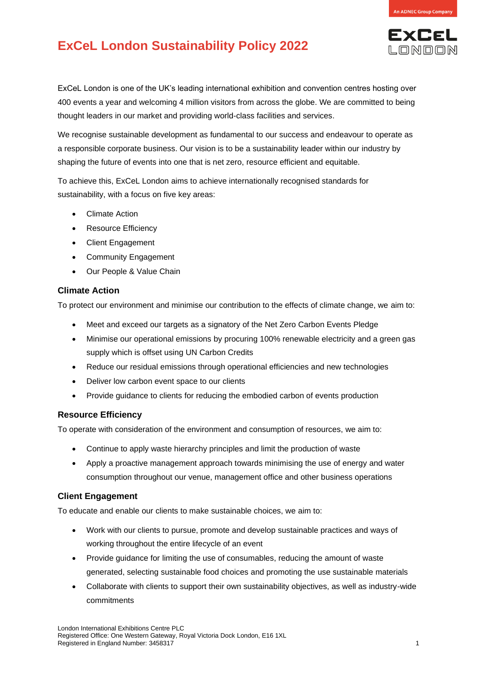

**EXCEL** LONDON

# **ExCeL London Sustainability Policy 2022**

ExCeL London is one of the UK's leading international exhibition and convention centres hosting over 400 events a year and welcoming 4 million visitors from across the globe. We are committed to being thought leaders in our market and providing world-class facilities and services.

We recognise sustainable development as fundamental to our success and endeavour to operate as a responsible corporate business. Our vision is to be a sustainability leader within our industry by shaping the future of events into one that is net zero, resource efficient and equitable.

To achieve this, ExCeL London aims to achieve internationally recognised standards for sustainability, with a focus on five key areas:

- Climate Action
- Resource Efficiency
- **Client Engagement**
- Community Engagement
- Our People & Value Chain

### **Climate Action**

To protect our environment and minimise our contribution to the effects of climate change, we aim to:

- Meet and exceed our targets as a signatory of the Net Zero Carbon Events Pledge
- Minimise our operational emissions by procuring 100% renewable electricity and a green gas supply which is offset using UN Carbon Credits
- Reduce our residual emissions through operational efficiencies and new technologies
- Deliver low carbon event space to our clients
- Provide guidance to clients for reducing the embodied carbon of events production

#### **Resource Efficiency**

To operate with consideration of the environment and consumption of resources, we aim to:

- Continue to apply waste hierarchy principles and limit the production of waste
- Apply a proactive management approach towards minimising the use of energy and water consumption throughout our venue, management office and other business operations

#### **Client Engagement**

To educate and enable our clients to make sustainable choices, we aim to:

- Work with our clients to pursue, promote and develop sustainable practices and ways of working throughout the entire lifecycle of an event
- Provide guidance for limiting the use of consumables, reducing the amount of waste generated, selecting sustainable food choices and promoting the use sustainable materials
- Collaborate with clients to support their own sustainability objectives, as well as industry-wide commitments